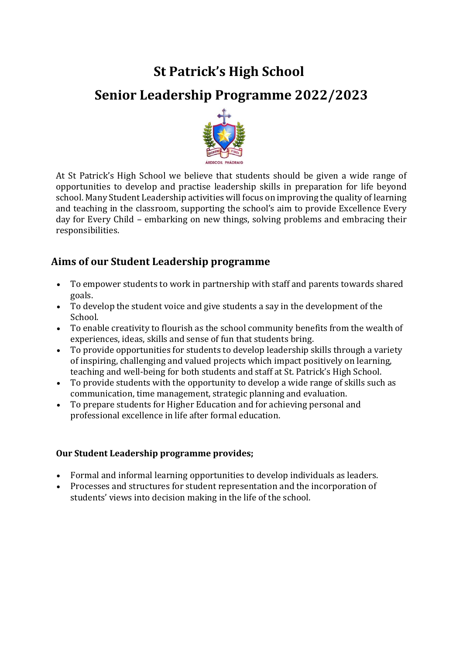# **St Patrick's High School Senior Leadership Programme 2022/2023**



At St Patrick's High School we believe that students should be given a wide range of opportunities to develop and practise leadership skills in preparation for life beyond school. Many Student Leadership activities will focus on improving the quality of learning and teaching in the classroom, supporting the school's aim to provide Excellence Every day for Every Child – embarking on new things, solving problems and embracing their responsibilities.

## **Aims of our Student Leadership programme**

- To empower students to work in partnership with staff and parents towards shared goals.
- To develop the student voice and give students a say in the development of the School.
- To enable creativity to flourish as the school community benefits from the wealth of experiences, ideas, skills and sense of fun that students bring.
- To provide opportunities for students to develop leadership skills through a variety of inspiring, challenging and valued projects which impact positively on learning, teaching and well-being for both students and staff at St. Patrick's High School.
- To provide students with the opportunity to develop a wide range of skills such as communication, time management, strategic planning and evaluation.
- To prepare students for Higher Education and for achieving personal and professional excellence in life after formal education.

#### **Our Student Leadership programme provides;**

- Formal and informal learning opportunities to develop individuals as leaders.
- Processes and structures for student representation and the incorporation of students' views into decision making in the life of the school.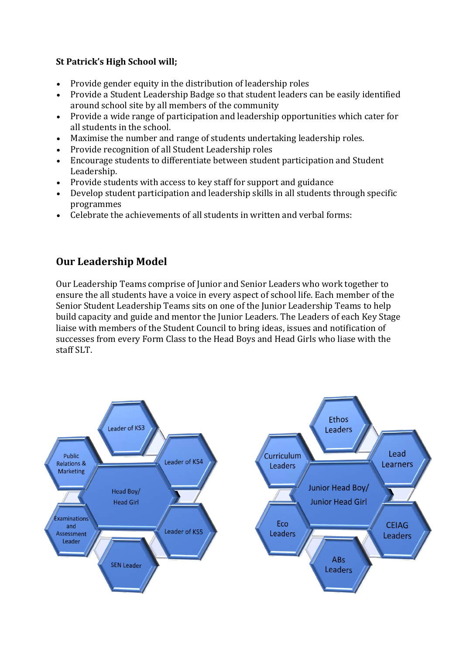### **St Patrick's High School will;**

- Provide gender equity in the distribution of leadership roles
- Provide a Student Leadership Badge so that student leaders can be easily identified around school site by all members of the community
- Provide a wide range of participation and leadership opportunities which cater for all students in the school.
- Maximise the number and range of students undertaking leadership roles.
- Provide recognition of all Student Leadership roles
- Encourage students to differentiate between student participation and Student Leadership.
- Provide students with access to key staff for support and guidance
- Develop student participation and leadership skills in all students through specific programmes
- Celebrate the achievements of all students in written and verbal forms:

# **Our Leadership Model**

Our Leadership Teams comprise of Junior and Senior Leaders who work together to ensure the all students have a voice in every aspect of school life. Each member of the Senior Student Leadership Teams sits on one of the Junior Leadership Teams to help build capacity and guide and mentor the Junior Leaders. The Leaders of each Key Stage liaise with members of the Student Council to bring ideas, issues and notification of successes from every Form Class to the Head Boys and Head Girls who liase with the staff SLT.

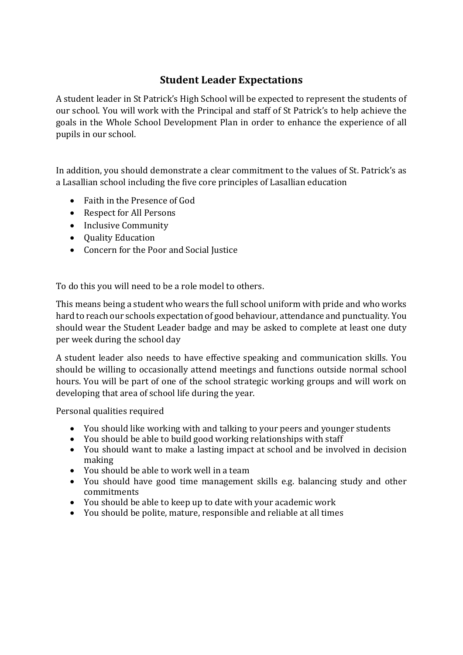## **Student Leader Expectations**

A student leader in St Patrick's High School will be expected to represent the students of our school. You will work with the Principal and staff of St Patrick's to help achieve the goals in the Whole School Development Plan in order to enhance the experience of all pupils in our school.

In addition, you should demonstrate a clear commitment to the values of St. Patrick's as a Lasallian school including the five core principles of Lasallian education

- Faith in the Presence of God
- Respect for All Persons
- Inclusive Community
- Ouality Education
- Concern for the Poor and Social Justice

To do this you will need to be a role model to others.

This means being a student who wears the full school uniform with pride and who works hard to reach our schools expectation of good behaviour, attendance and punctuality. You should wear the Student Leader badge and may be asked to complete at least one duty per week during the school day

A student leader also needs to have effective speaking and communication skills. You should be willing to occasionally attend meetings and functions outside normal school hours. You will be part of one of the school strategic working groups and will work on developing that area of school life during the year.

Personal qualities required

- You should like working with and talking to your peers and younger students
- You should be able to build good working relationships with staff
- You should want to make a lasting impact at school and be involved in decision making
- You should be able to work well in a team
- You should have good time management skills e.g. balancing study and other commitments
- You should be able to keep up to date with your academic work
- You should be polite, mature, responsible and reliable at all times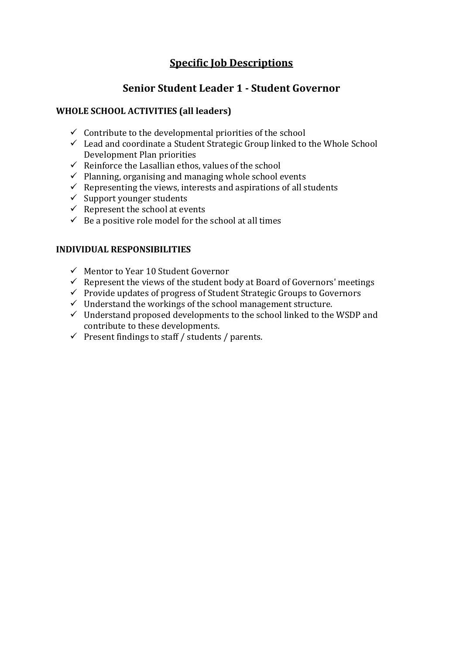## **Specific Job Descriptions**

## **Senior Student Leader 1 - Student Governor**

#### **WHOLE SCHOOL ACTIVITIES (all leaders)**

- $\checkmark$  Contribute to the developmental priorities of the school
- $\checkmark$  Lead and coordinate a Student Strategic Group linked to the Whole School Development Plan priorities
- $\checkmark$  Reinforce the Lasallian ethos, values of the school
- $\checkmark$  Planning, organising and managing whole school events
- $\checkmark$  Representing the views, interests and aspirations of all students
- $\checkmark$  Support younger students
- $\checkmark$  Represent the school at events
- $\checkmark$  Be a positive role model for the school at all times

- $\checkmark$  Mentor to Year 10 Student Governor
- $\checkmark$  Represent the views of the student body at Board of Governors' meetings
- $\checkmark$  Provide updates of progress of Student Strategic Groups to Governors
- $\checkmark$  Understand the workings of the school management structure.
- $\checkmark$  Understand proposed developments to the school linked to the WSDP and contribute to these developments.
- $\checkmark$  Present findings to staff / students / parents.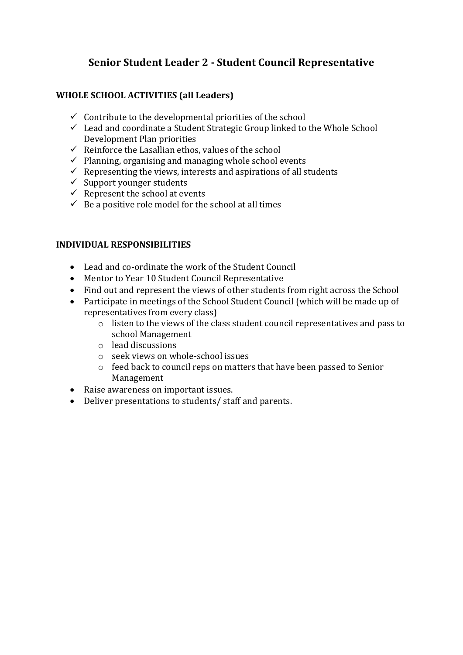## **Senior Student Leader 2 - Student Council Representative**

#### **WHOLE SCHOOL ACTIVITIES (all Leaders)**

- $\checkmark$  Contribute to the developmental priorities of the school
- $\checkmark$  Lead and coordinate a Student Strategic Group linked to the Whole School Development Plan priorities
- $\checkmark$  Reinforce the Lasallian ethos, values of the school
- $\checkmark$  Planning, organising and managing whole school events
- $\checkmark$  Representing the views, interests and aspirations of all students
- $\checkmark$  Support younger students
- $\checkmark$  Represent the school at events
- $\checkmark$  Be a positive role model for the school at all times

- Lead and co-ordinate the work of the Student Council
- Mentor to Year 10 Student Council Representative
- Find out and represent the views of other students from right across the School
- Participate in meetings of the School Student Council (which will be made up of representatives from every class)
	- o listen to the views of the class student council representatives and pass to school Management
	- o lead discussions
	- o seek views on whole-school issues
	- o feed back to council reps on matters that have been passed to Senior Management
- Raise awareness on important issues.
- Deliver presentations to students/ staff and parents.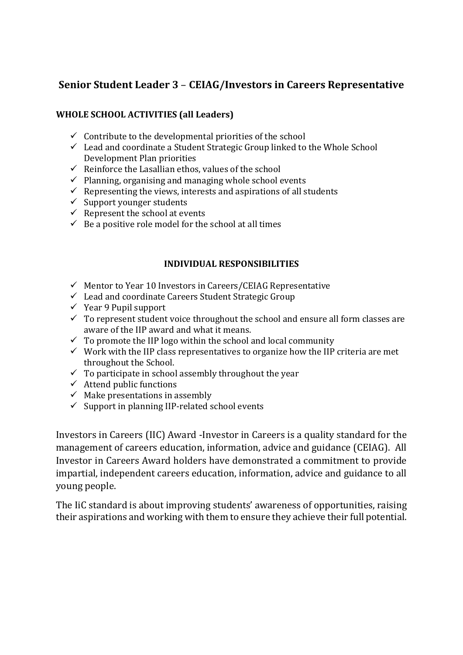## **Senior Student Leader 3** – **CEIAG/Investors in Careers Representative**

#### **WHOLE SCHOOL ACTIVITIES (all Leaders)**

- $\checkmark$  Contribute to the developmental priorities of the school
- $\checkmark$  Lead and coordinate a Student Strategic Group linked to the Whole School Development Plan priorities
- $\checkmark$  Reinforce the Lasallian ethos, values of the school
- $\checkmark$  Planning, organising and managing whole school events
- $\checkmark$  Representing the views, interests and aspirations of all students
- $\checkmark$  Support younger students
- $\checkmark$  Represent the school at events
- $\checkmark$  Be a positive role model for the school at all times

#### **INDIVIDUAL RESPONSIBILITIES**

- $\checkmark$  Mentor to Year 10 Investors in Careers/CEIAG Representative
- Lead and coordinate Careers Student Strategic Group
- $\checkmark$  Year 9 Pupil support
- $\checkmark$  To represent student voice throughout the school and ensure all form classes are aware of the IIP award and what it means.
- $\checkmark$  To promote the IIP logo within the school and local community
- $\checkmark$  Work with the IIP class representatives to organize how the IIP criteria are met throughout the School.
- $\checkmark$  To participate in school assembly throughout the year
- $\checkmark$  Attend public functions
- $\checkmark$  Make presentations in assembly
- $\checkmark$  Support in planning IIP-related school events

Investors in Careers (IIC) Award -Investor in Careers is a quality standard for the management of careers education, information, advice and guidance (CEIAG). All Investor in Careers Award holders have demonstrated a commitment to provide impartial, independent careers education, information, advice and guidance to all young people.

The IiC standard is about improving students' awareness of opportunities, raising their aspirations and working with them to ensure they achieve their full potential.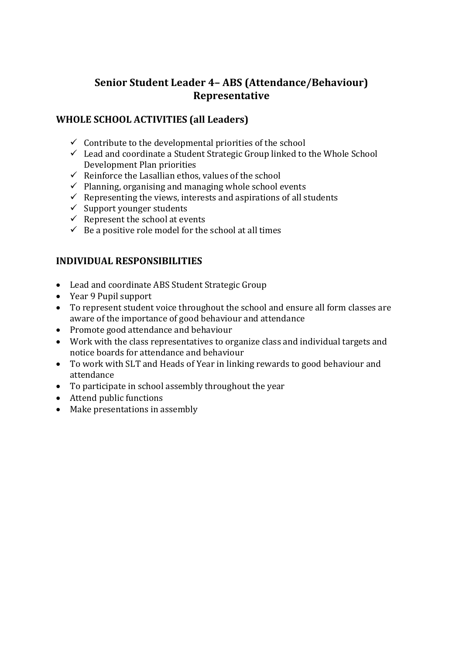## **Senior Student Leader 4– ABS (Attendance/Behaviour) Representative**

## **WHOLE SCHOOL ACTIVITIES (all Leaders)**

- $\checkmark$  Contribute to the developmental priorities of the school
- $\checkmark$  Lead and coordinate a Student Strategic Group linked to the Whole School Development Plan priorities
- $\checkmark$  Reinforce the Lasallian ethos, values of the school
- $\checkmark$  Planning, organising and managing whole school events
- $\checkmark$  Representing the views, interests and aspirations of all students
- $\checkmark$  Support younger students
- $\checkmark$  Represent the school at events
- $\checkmark$  Be a positive role model for the school at all times

- Lead and coordinate ABS Student Strategic Group
- Year 9 Pupil support
- To represent student voice throughout the school and ensure all form classes are aware of the importance of good behaviour and attendance
- Promote good attendance and behaviour
- Work with the class representatives to organize class and individual targets and notice boards for attendance and behaviour
- To work with SLT and Heads of Year in linking rewards to good behaviour and attendance
- To participate in school assembly throughout the year
- Attend public functions
- Make presentations in assembly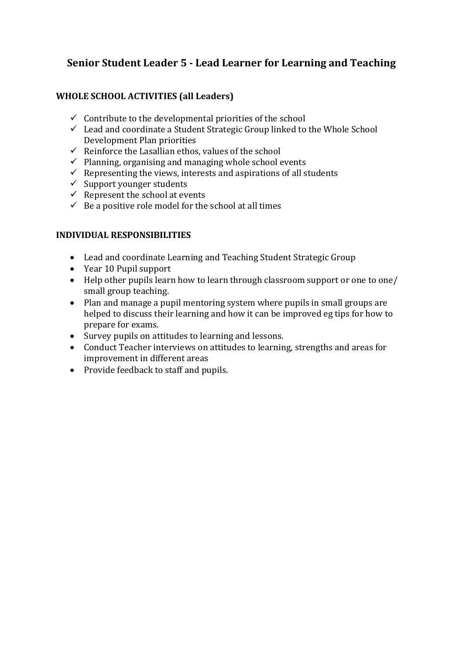## **Senior Student Leader 5 - Lead Learner for Learning and Teaching**

### **WHOLE SCHOOL ACTIVITIES (all Leaders)**

- $\checkmark$  Contribute to the developmental priorities of the school
- $\checkmark$  Lead and coordinate a Student Strategic Group linked to the Whole School Development Plan priorities
- $\checkmark$  Reinforce the Lasallian ethos, values of the school
- $\checkmark$  Planning, organising and managing whole school events
- $\checkmark$  Representing the views, interests and aspirations of all students
- $\checkmark$  Support younger students
- $\checkmark$  Represent the school at events
- $\checkmark$  Be a positive role model for the school at all times

- Lead and coordinate Learning and Teaching Student Strategic Group
- Year 10 Pupil support
- Help other pupils learn how to learn through classroom support or one to one/ small group teaching.
- Plan and manage a pupil mentoring system where pupils in small groups are helped to discuss their learning and how it can be improved eg tips for how to prepare for exams.
- Survey pupils on attitudes to learning and lessons.
- Conduct Teacher interviews on attitudes to learning, strengths and areas for improvement in different areas
- Provide feedback to staff and pupils.